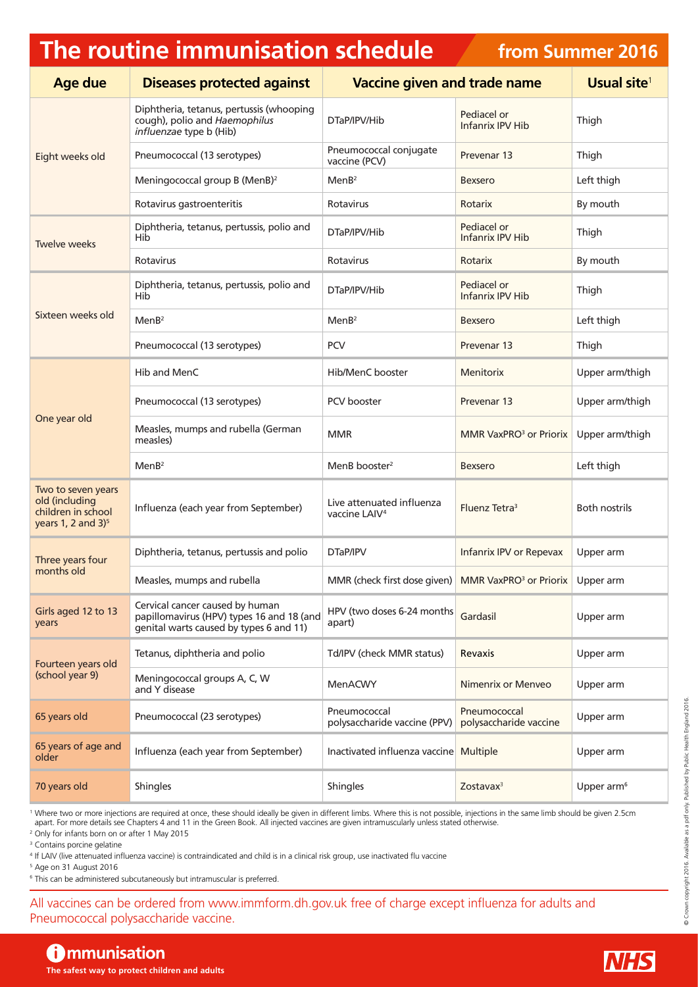## **The routine immunisation schedule**

## **from Summer 2016**

| <b>Age due</b>                                                                                | <b>Diseases protected against</b>                                                                                       | <b>Vaccine given and trade name</b>                    |                                        | Usual site <sup>1</sup> |
|-----------------------------------------------------------------------------------------------|-------------------------------------------------------------------------------------------------------------------------|--------------------------------------------------------|----------------------------------------|-------------------------|
| Eight weeks old                                                                               | Diphtheria, tetanus, pertussis (whooping<br>cough), polio and Haemophilus<br>influenzae type b (Hib)                    | DTaP/IPV/Hib                                           | Pediacel or<br>Infanrix IPV Hib        | Thigh                   |
|                                                                                               | Pneumococcal (13 serotypes)                                                                                             | Pneumococcal conjugate<br>vaccine (PCV)                | Prevenar 13                            | Thigh                   |
|                                                                                               | Meningococcal group B (MenB) <sup>2</sup>                                                                               | MenB <sup>2</sup>                                      | <b>Bexsero</b>                         | Left thigh              |
|                                                                                               | Rotavirus gastroenteritis                                                                                               | Rotavirus                                              | Rotarix                                | By mouth                |
| Twelve weeks                                                                                  | Diphtheria, tetanus, pertussis, polio and<br>Hib                                                                        | DTaP/IPV/Hib                                           | Pediacel or<br>Infanrix IPV Hib        | Thigh                   |
|                                                                                               | Rotavirus                                                                                                               | Rotavirus                                              | Rotarix                                | By mouth                |
| Sixteen weeks old                                                                             | Diphtheria, tetanus, pertussis, polio and<br>Hib                                                                        | DTaP/IPV/Hib                                           | Pediacel or<br><b>Infanrix IPV Hib</b> | Thigh                   |
|                                                                                               | MenB <sup>2</sup>                                                                                                       | MenB <sup>2</sup>                                      | <b>Bexsero</b>                         | Left thigh              |
|                                                                                               | Pneumococcal (13 serotypes)                                                                                             | <b>PCV</b>                                             | Prevenar 13                            | Thigh                   |
| One year old                                                                                  | Hib and MenC                                                                                                            | Hib/MenC booster                                       | <b>Menitorix</b>                       | Upper arm/thigh         |
|                                                                                               | Pneumococcal (13 serotypes)                                                                                             | PCV booster                                            | Prevenar 13                            | Upper arm/thigh         |
|                                                                                               | Measles, mumps and rubella (German<br>measles)                                                                          | <b>MMR</b>                                             | MMR VaxPRO <sup>3</sup> or Priorix     | Upper arm/thigh         |
|                                                                                               | MenB <sup>2</sup>                                                                                                       | MenB booster <sup>2</sup>                              | <b>Bexsero</b>                         | Left thigh              |
| Two to seven years<br>old (including<br>children in school<br>years 1, 2 and $3$ <sup>5</sup> | Influenza (each year from September)                                                                                    | Live attenuated influenza<br>vaccine LAIV <sup>4</sup> | Fluenz Tetra <sup>3</sup>              | <b>Both nostrils</b>    |
| Three years four<br>months old                                                                | Diphtheria, tetanus, pertussis and polio                                                                                | DTaP/IPV                                               | Infanrix IPV or Repevax                | Upper arm               |
|                                                                                               | Measles, mumps and rubella                                                                                              | MMR (check first dose given)                           | MMR VaxPRO <sup>3</sup> or Priorix     | Upper arm               |
| Girls aged 12 to 13<br>years                                                                  | Cervical cancer caused by human<br>papillomavirus (HPV) types 16 and 18 (and<br>genital warts caused by types 6 and 11) | HPV (two doses 6-24 months<br>apart)                   | Gardasil                               | Upper arm               |
| Fourteen years old<br>(school year 9)                                                         | Tetanus, diphtheria and polio                                                                                           | Td/IPV (check MMR status)                              | Revaxis                                | Upper arm               |
|                                                                                               | Meningococcal groups A, C, W<br>and Y disease                                                                           | MenACWY                                                | Nimenrix or Menveo                     | Upper arm               |
| 65 years old                                                                                  | Pneumococcal (23 serotypes)                                                                                             | Pneumococcal<br>polysaccharide vaccine (PPV)           | Pneumococcal<br>polysaccharide vaccine | Upper arm               |
| 65 years of age and<br>older                                                                  | Influenza (each year from September)                                                                                    | Inactivated influenza vaccine Multiple                 |                                        | Upper arm               |
| 70 years old                                                                                  | Shingles                                                                                                                | Shingles                                               | Zostava $x^3$                          | Upper arm <sup>6</sup>  |

<sup>1</sup> Where two or more injections are required at once, these should ideally be given in different limbs. Where this is not possible, injections in the same limb should be given 2.5cm apart. For more details see Chapters 4 and 11 in the Green Book. All injected vaccines are given intramuscularly unless stated otherwise.

2 Only for infants born on or after 1 May 2015

3 Contains porcine gelatine

4 If LAIV (live attenuated influenza vaccine) is contraindicated and child is in a clinical risk group, use inactivated flu vaccine

5 Age on 31 August 2016

6 This can be administered subcutaneously but intramuscular is preferred.

All vaccines can be ordered from [www.immform.dh.gov.uk](http://www.immform.dh.gov.uk) free of charge except influenza for adults and Pneumococcal polysaccharide vaccine.

## **Communisation**